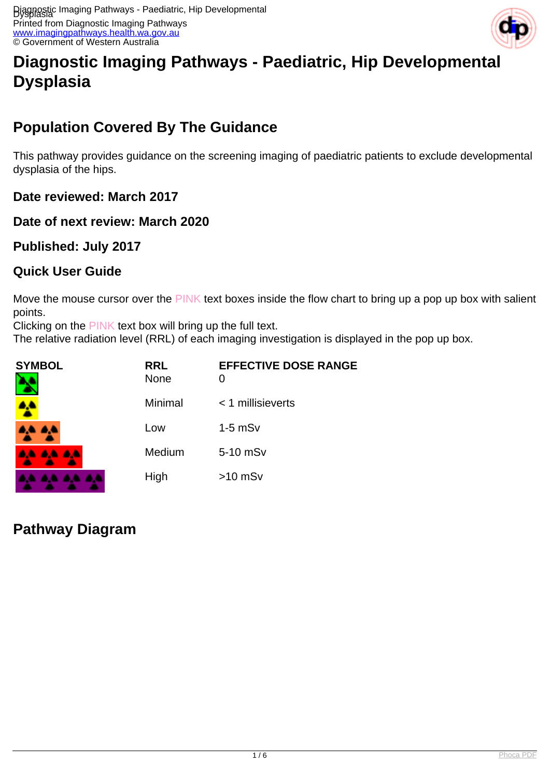Printed from Diagnostic Imaging Pathways [www.imagingpathways.health.wa.gov.au](http://www.imagingpathways.health.wa.gov.au/) © Government of Western Australia



# **Diagnostic Imaging Pathways - Paediatric, Hip Developmental Dysplasia**

# **Population Covered By The Guidance**

This pathway provides guidance on the screening imaging of paediatric patients to exclude developmental dysplasia of the hips.

**Date reviewed: March 2017**

**Date of next review: March 2020**

**Published: July 2017**

### **Quick User Guide**

Move the mouse cursor over the PINK text boxes inside the flow chart to bring up a pop up box with salient points.

Clicking on the PINK text box will bring up the full text.

The relative radiation level (RRL) of each imaging investigation is displayed in the pop up box.

| <b>SYMBOL</b> | <b>RRL</b><br>None | <b>EFFECTIVE DOSE RANGE</b><br>0 |
|---------------|--------------------|----------------------------------|
|               | Minimal            | $<$ 1 millisieverts              |
| 84 S          | Low                | $1-5$ mS $v$                     |
| 4. A. A. A.   | Medium             | 5-10 mSv                         |
|               | High               | $>10$ mSv                        |

# **Pathway Diagram**

. . . .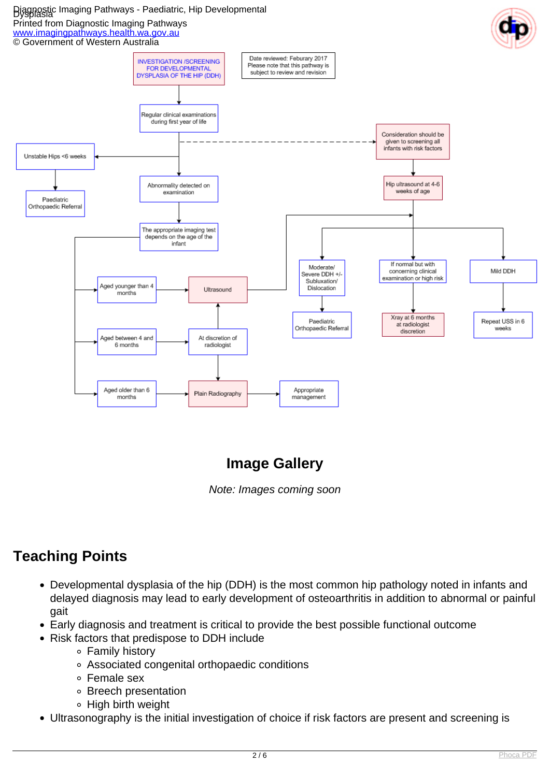### Diagnostic Imaging Pathways - Paediatric, Hip Developmental Dysplasia

#### Printed from Diagnostic Imaging Pathways

[www.imagingpathways.health.wa.gov.au](http://www.imagingpathways.health.wa.gov.au/)



# **Image Gallery**

Note: Images coming soon

# **Teaching Points**

- Developmental dysplasia of the hip (DDH) is the most common hip pathology noted in infants and delayed diagnosis may lead to early development of osteoarthritis in addition to abnormal or painful gait
- Early diagnosis and treatment is critical to provide the best possible functional outcome
- Risk factors that predispose to DDH include
	- Family history
	- Associated congenital orthopaedic conditions
	- Female sex
	- Breech presentation
	- ∘ High birth weight
- Ultrasonography is the initial investigation of choice if risk factors are present and screening is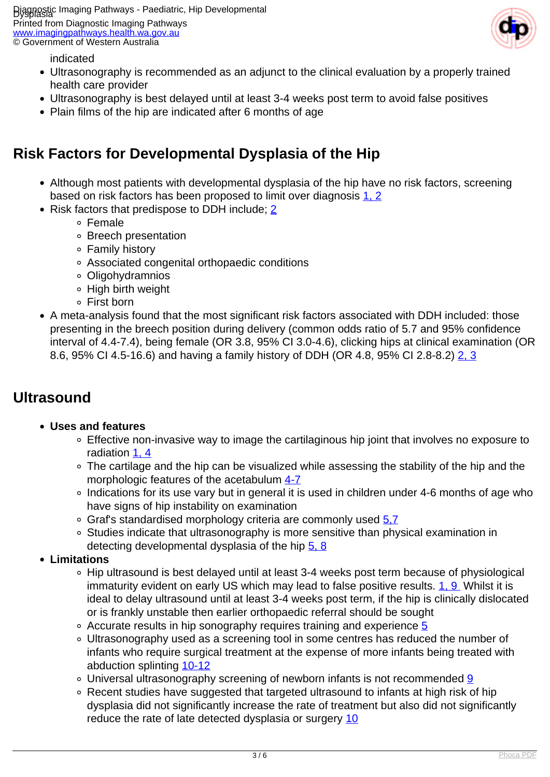Diagnostic Imaging Pathways - Paediatric, Hip Developmental Dysplasia

Printed from Diagnostic Imaging Pathways [www.imagingpathways.health.wa.gov.au](http://www.imagingpathways.health.wa.gov.au/) © Government of Western Australia



indicated

- Ultrasonography is recommended as an adjunct to the clinical evaluation by a properly trained health care provider
- Ultrasonography is best delayed until at least 3-4 weeks post term to avoid false positives
- Plain films of the hip are indicated after 6 months of age

### **Risk Factors for Developmental Dysplasia of the Hip**

- Although most patients with developmental dysplasia of the hip have no risk factors, screening based on risk factors has been proposed to limit over diagnosis [1, 2](index.php/imaging-pathways/paediatrics/developmental-dysplasia-of-the-hip?tab=References#1)
- Risk factors that predispose to DDH include; [2](index.php/imaging-pathways/paediatrics/developmental-dysplasia-of-the-hip?tab=References#2)
	- Female
		- Breech presentation
		- Family history
		- Associated congenital orthopaedic conditions
		- Oligohydramnios
		- High birth weight
		- First born
- A meta-analysis found that the most significant risk factors associated with DDH included: those presenting in the breech position during delivery (common odds ratio of 5.7 and 95% confidence interval of 4.4-7.4), being female (OR 3.8, 95% CI 3.0-4.6), clicking hips at clinical examination (OR 8.6, 95% CI 4.5-16.6) and having a family history of DDH (OR 4.8, 95% CI 2.8-8.2) [2, 3](index.php/imaging-pathways/paediatrics/developmental-dysplasia-of-the-hip?tab=References#2)

### **Ultrasound**

#### **Uses and features**

- Effective non-invasive way to image the cartilaginous hip joint that involves no exposure to radiation [1, 4](index.php/imaging-pathways/paediatrics/developmental-dysplasia-of-the-hip?tab=References#1)
- The cartilage and the hip can be visualized while assessing the stability of the hip and the morphologic features of the acetabulum [4-7](index.php/imaging-pathways/paediatrics/developmental-dysplasia-of-the-hip?tab=References#4)
- Indications for its use vary but in general it is used in children under 4-6 months of age who have signs of hip instability on examination
- $\circ$  Graf's standardised morphology criteria are commonly used  $5.7$
- Studies indicate that ultrasonography is more sensitive than physical examination in detecting developmental dysplasia of the hip [5, 8](index.php/imaging-pathways/paediatrics/developmental-dysplasia-of-the-hip?tab=References#5)
- **Limitations**
	- Hip ultrasound is best delayed until at least 3-4 weeks post term because of physiological immaturity evident on early US which may lead to false positive results. [1, 9](index.php/imaging-pathways/paediatrics/developmental-dysplasia-of-the-hip?tab=References#1) Whilst it is ideal to delay ultrasound until at least 3-4 weeks post term, if the hip is clinically dislocated or is frankly unstable then earlier orthopaedic referral should be sought
	- Accurate results in hip sonography requires training and experience [5](index.php/imaging-pathways/paediatrics/developmental-dysplasia-of-the-hip?tab=References#5)
	- Ultrasonography used as a screening tool in some centres has reduced the number of infants who require surgical treatment at the expense of more infants being treated with abduction splinting [10-12](index.php/imaging-pathways/paediatrics/developmental-dysplasia-of-the-hip?tab=References#10)
	- Universal ultrasonography screening of newborn infants is not recommended [9](index.php/imaging-pathways/paediatrics/developmental-dysplasia-of-the-hip?tab=References#9)
	- Recent studies have suggested that targeted ultrasound to infants at high risk of hip dysplasia did not significantly increase the rate of treatment but also did not significantly reduce the rate of late detected dysplasia or surgery [10](index.php/imaging-pathways/paediatrics/developmental-dysplasia-of-the-hip?tab=References#10)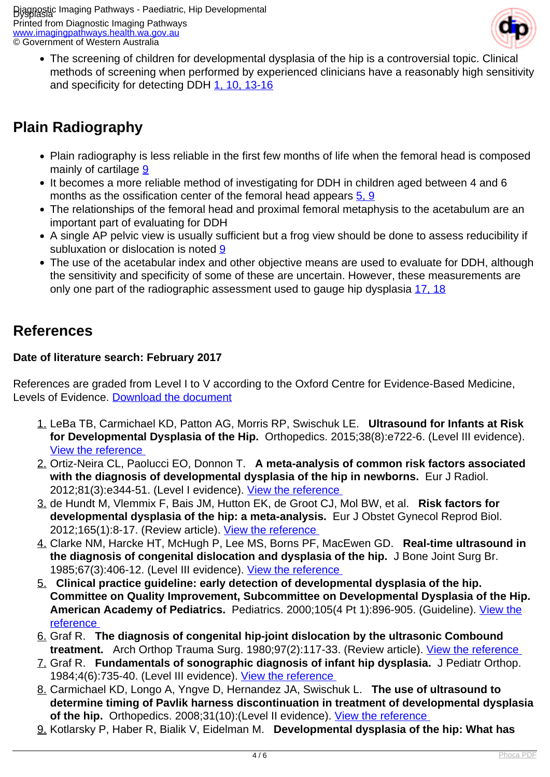Diagnostic Imaging Pathways - Paediatric, Hip Developmental Dysplasia

Printed from Diagnostic Imaging Pathways [www.imagingpathways.health.wa.gov.au](http://www.imagingpathways.health.wa.gov.au/) © Government of Western Australia



The screening of children for developmental dysplasia of the hip is a controversial topic. Clinical methods of screening when performed by experienced clinicians have a reasonably high sensitivity and specificity for detecting DDH [1,](index.php/imaging-pathways/paediatrics/developmental-dysplasia-of-the-hip?tab=References#1) [10,](index.php/imaging-pathways/paediatrics/developmental-dysplasia-of-the-hip?tab=References#10) [13-16](index.php/imaging-pathways/paediatrics/developmental-dysplasia-of-the-hip?tab=References#13)

# **Plain Radiography**

- Plain radiography is less reliable in the first few months of life when the femoral head is composed mainly of cartilage [9](index.php/imaging-pathways/paediatrics/developmental-dysplasia-of-the-hip?tab=References#9)
- It becomes a more reliable method of investigating for DDH in children aged between 4 and 6 months as the ossification center of the femoral head appears [5, 9](index.php/imaging-pathways/paediatrics/developmental-dysplasia-of-the-hip?tab=References#5)
- The relationships of the femoral head and proximal femoral metaphysis to the acetabulum are an important part of evaluating for DDH
- A single AP pelvic view is usually sufficient but a frog view should be done to assess reducibility if subluxation or dislocation is noted [9](index.php/imaging-pathways/paediatrics/developmental-dysplasia-of-the-hip?tab=References#9)
- The use of the acetabular index and other objective means are used to evaluate for DDH, although the sensitivity and specificity of some of these are uncertain. However, these measurements are only one part of the radiographic assessment used to gauge hip dysplasia [17, 18](index.php/imaging-pathways/paediatrics/developmental-dysplasia-of-the-hip?tab=References#17)

## **References**

### **Date of literature search: February 2017**

References are graded from Level I to V according to the Oxford Centre for Evidence-Based Medicine, Levels of Evidence. [Download the document](http://www.cebm.net/wp-content/uploads/2014/06/CEBM-Levels-of-Evidence-2.1.pdf)

- 1. LeBa TB, Carmichael KD, Patton AG, Morris RP, Swischuk LE. **Ultrasound for Infants at Risk for Developmental Dysplasia of the Hip.** Orthopedics. 2015;38(8):e722-6. (Level III evidence). [View the reference](https://www.ncbi.nlm.nih.gov/pubmed/26270760 )
- 2. Ortiz-Neira CL, Paolucci EO, Donnon T. **A meta-analysis of common risk factors associated with the diagnosis of developmental dysplasia of the hip in newborns.** Eur J Radiol. 2012;81(3):e344-51. (Level I evidence). [View the reference](https://www.ncbi.nlm.nih.gov/pubmed/22119556 )
- 3. de Hundt M, Vlemmix F, Bais JM, Hutton EK, de Groot CJ, Mol BW, et al. **Risk factors for developmental dysplasia of the hip: a meta-analysis.** Eur J Obstet Gynecol Reprod Biol. 2012;165(1):8-17. (Review article). [View the reference](https://www.ncbi.nlm.nih.gov/pubmed/22824571 )
- 4. Clarke NM, Harcke HT, McHugh P, Lee MS, Borns PF, MacEwen GD. **Real-time ultrasound in the diagnosis of congenital dislocation and dysplasia of the hip.** J Bone Joint Surg Br. 1985;67(3):406-12. (Level III evidence). [View the reference](https://www.ncbi.nlm.nih.gov/pubmed/3889008 )
- 5. **Clinical practice guideline: early detection of developmental dysplasia of the hip. Committee on Quality Improvement, Subcommittee on Developmental Dysplasia of the Hip. American Academy of Pediatrics.** Pediatrics. 2000;105(4 Pt 1):896-905. (Guideline). [View the](https://www.ncbi.nlm.nih.gov/pubmed/10742345 ) [reference](https://www.ncbi.nlm.nih.gov/pubmed/10742345 )
- 6. Graf R. **The diagnosis of congenital hip-joint dislocation by the ultrasonic Combound treatment.** Arch Orthop Trauma Surg. 1980;97(2):117-33. (Review article). View the reference
- 7. Graf R. **Fundamentals of sonographic diagnosis of infant hip dysplasia.** J Pediatr Orthop. 1984;4(6):735-40. (Level III evidence). [View the reference](https://www.ncbi.nlm.nih.gov/pubmed/6392336 )
- 8. Carmichael KD, Longo A, Yngve D, Hernandez JA, Swischuk L. **The use of ultrasound to determine timing of Pavlik harness discontinuation in treatment of developmental dysplasia of the hip.** Orthopedics. 2008;31(10):(Level II evidence). [View the reference](https://www.ncbi.nlm.nih.gov/pubmed/19226016 )
- 9. Kotlarsky P, Haber R, Bialik V, Eidelman M. **Developmental dysplasia of the hip: What has**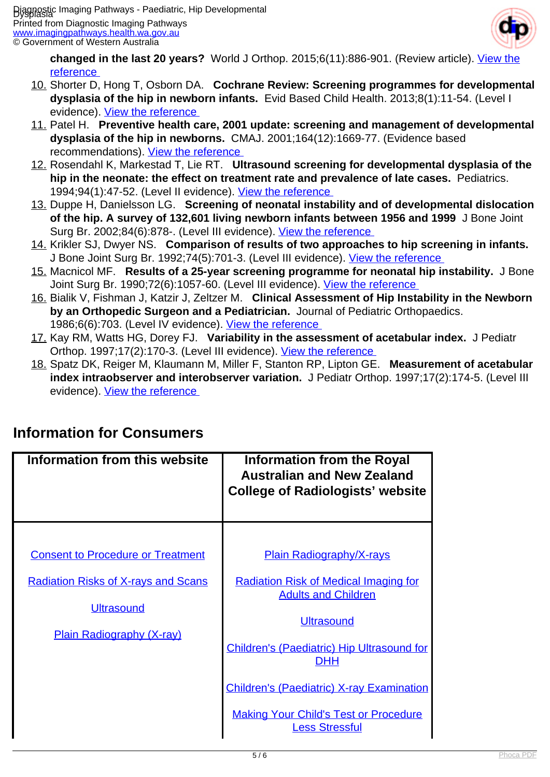Printed from Diagnostic Imaging Pathways [www.imagingpathways.health.wa.gov.au](http://www.imagingpathways.health.wa.gov.au/) © Government of Western Australia



**changed in the last 20 years?** World J Orthop. 2015;6(11):886-901. (Review article). [View the](https://www.ncbi.nlm.nih.gov/pubmed/26716085 ) [reference](https://www.ncbi.nlm.nih.gov/pubmed/26716085 ) 

- 10. Shorter D, Hong T, Osborn DA. **Cochrane Review: Screening programmes for developmental dysplasia of the hip in newborn infants.** Evid Based Child Health. 2013;8(1):11-54. (Level I evidence). View the reference
- 11. Patel H. **Preventive health care, 2001 update: screening and management of developmental dysplasia of the hip in newborns.** CMAJ. 2001;164(12):1669-77. (Evidence based recommendations). [View the reference](https://www.ncbi.nlm.nih.gov/pubmed/11450209 )
- 12. Rosendahl K, Markestad T, Lie RT. **Ultrasound screening for developmental dysplasia of the hip in the neonate: the effect on treatment rate and prevalence of late cases.** Pediatrics. 1994;94(1):47-52. (Level II evidence). [View the reference](https://www.ncbi.nlm.nih.gov/pubmed/8008537 )
- 13. Duppe H, Danielsson LG. **Screening of neonatal instability and of developmental dislocation of the hip. A survey of 132,601 living newborn infants between 1956 and 1999** J Bone Joint Surg Br. 2002;84(6):878-. (Level III evidence). [View the reference](https://www.ncbi.nlm.nih.gov/pubmed/12211683 )
- 14. Krikler SJ, Dwyer NS. **Comparison of results of two approaches to hip screening in infants.**  J Bone Joint Surg Br. 1992;74(5):701-3. (Level III evidence). [View the reference](https://www.ncbi.nlm.nih.gov/pubmed/1527116 )
- 15. Macnicol MF. **Results of a 25-year screening programme for neonatal hip instability.** J Bone Joint Surg Br. 1990;72(6):1057-60. (Level III evidence). [View the reference](https://www.ncbi.nlm.nih.gov/pubmed/2246288 )
- 16. Bialik V, Fishman J, Katzir J, Zeltzer M. **Clinical Assessment of Hip Instability in the Newborn by an Orthopedic Surgeon and a Pediatrician.** Journal of Pediatric Orthopaedics. 1986;6(6):703. (Level IV evidence). [View the reference](https://www.ncbi.nlm.nih.gov/pubmed/3793892 )
- 17. Kay RM, Watts HG, Dorey FJ. **Variability in the assessment of acetabular index.** J Pediatr Orthop. 1997;17(2):170-3. (Level III evidence). [View the reference](https://www.ncbi.nlm.nih.gov/pubmed/9075090 )
- 18. Spatz DK, Reiger M, Klaumann M, Miller F, Stanton RP, Lipton GE. **Measurement of acetabular index intraobserver and interobserver variation.** J Pediatr Orthop. 1997;17(2):174-5. (Level III evidence). View the reference

| Information from this website                                                                                                                   | <b>Information from the Royal</b><br><b>Australian and New Zealand</b><br><b>College of Radiologists' website</b>                                                                                                                                                                                                           |
|-------------------------------------------------------------------------------------------------------------------------------------------------|-----------------------------------------------------------------------------------------------------------------------------------------------------------------------------------------------------------------------------------------------------------------------------------------------------------------------------|
| <b>Consent to Procedure or Treatment</b><br><b>Radiation Risks of X-rays and Scans</b><br><b>Ultrasound</b><br><b>Plain Radiography (X-ray)</b> | <b>Plain Radiography/X-rays</b><br><b>Radiation Risk of Medical Imaging for</b><br><b>Adults and Children</b><br><b>Ultrasound</b><br>Children's (Paediatric) Hip Ultrasound for<br><b>DHH</b><br><b>Children's (Paediatric) X-ray Examination</b><br><b>Making Your Child's Test or Procedure</b><br><b>Less Stressful</b> |

## **Information for Consumers**